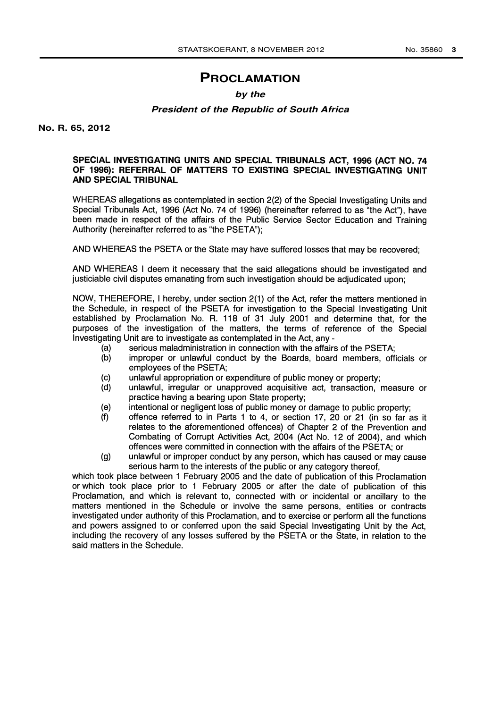# **PROCLAMATION**

## **by the**

### **President of the Republic of South Africa**

**No. R. 65, 2012**

### SPECIAL INVESTIGATING UNITS AND SPECIAL TRIBUNALS ACT, 1996 (ACT NO. 74 OF 1996): REFERRAL OF MATTERS TO EXISTING SPECIAL INVESTIGATING UNIT AND SPECIAL TRIBUNAL

WHEREAS allegations as contemplated in section 2(2) of the Special Investigating Units and Special Tribunals Act, 1996 (Act No. 74 of 1996) (hereinafter referred to as "the Act"), have been made in respect of the affairs of the Public Service Sector Education and Training Authority (hereinafter referred to as "the PSETA");

AND WHEREAS the PSETA or the State may have suffered losses that may be recovered;

AND WHEREAS I deem it necessary that the said allegations should be investigated and justiciable civil disputes emanating from such investigation should be adjudicated upon;

NOW, THEREFORE, I hereby, under section 2(1) of the Act, refer the matters mentioned in the Schedule, in respect of the PSETA for investigation to the Special Investigating Unit established by Proclamation No. R. 118 of 31 July 2001 and determine that, for the purposes of the investigation of the matters, the terms of reference of the Special Investigating Unit are to investigate as contemplated in the Act, any -

- (a) serious maladministration in connection with the affairs of the PSETA;<br>(b) improper or unlawful conduct by the Boards, board members, offi
- improper or unlawful conduct by the Boards, board members, officials or employees of the PSETA;
- (c) unlawful appropriation or expenditure of public money or property;
- (d) unlawful, irregular or unapproved acquisitive act, transaction, measure or practice having a bearing upon State property;
- (e) intentional or negligent loss of public money or damage to public property;
- (f) offence referred to in Parts 1 to 4, or section 17, 20 or 21 (in so far as it relates to the aforementioned offences) of Chapter 2 of the Prevention and Combating of Corrupt Activities Act, 2004 (Act No. 12 of 2004), and which offences were committed in connection with the affairs of the PSETA; or
- (g) unlawful or improper conduct by any person, which has caused or may cause serious harm to the interests of the public or any category thereof,

which took place between 1 February 2005 and the date of publication of this Proclamation or which took place prior to <sup>1</sup> February 2005 or after the date of publication of this Proclamation, and which is relevant to, connected with or incidental or ancillary to the matters mentioned in the Schedule or involve the same persons, entities or contracts investigated under authority of this Proclamation, and to exercise or perform all the functions and powers assigned to or conferred upon the said Special Investigating Unit by the Act, including the recovery of any losses suffered by the PSETA or the State, in relation to the said matters in the Schedule.